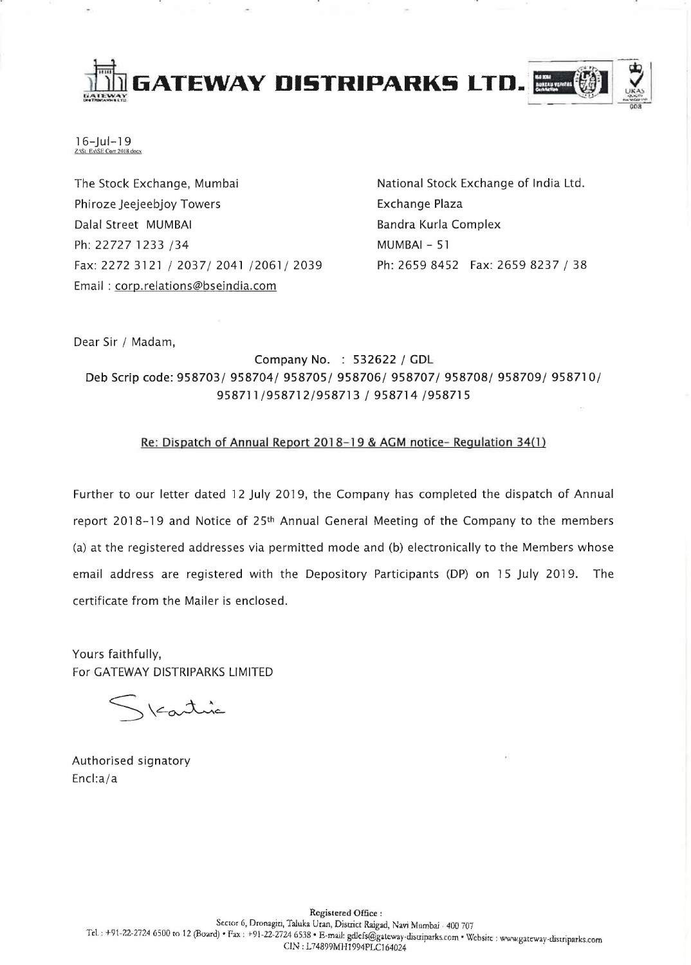



16-Jul-19 Z:\SL Ex\SE Cort 2018 docx

The Stock Exchange, Mumbai Phiroze Jeejeebjoy Towers Dalal Street MUMBAI Ph: 22727 1233 /34 Fax: 2272 3121/2037/2041/2061/2039 Email: corp.relations@bseindia.com

National Stock Exchange of India Ltd. Exchange Plaza Bandra Kurla Complex MUMBAI - 51 Ph: 2659 8452 Fax: 2659 8237 / 38

Dear Sir / Madam,

Company No. : 532622 / GDL Deb Scrip code: 958703/ 958704/ 958705/ 958706/ 958707/ 958708/ 958709/ 958710/ 958711/958712/958713 / 958714 /958715

## Re: Dispatch of Annual Report 2018-19 & AGM notice- Regulation 34(1)

Further to our letter dated 12 July 2019, the Company has completed the dispatch of Annual report 2018-19 and Notice of 25th Annual General Meeting of the Company to the members (a) at the registered addresses via permitted mode and (b) electronically to the Members whose email address are registered with the Depository Participants (DP) on 15 July 2019. The certificate from the Mailer is enclosed.

Yours faithfully, For GATEWAY DISTRIPARKS LIMITED

Kartine

Authorised signatory Encl:a/a